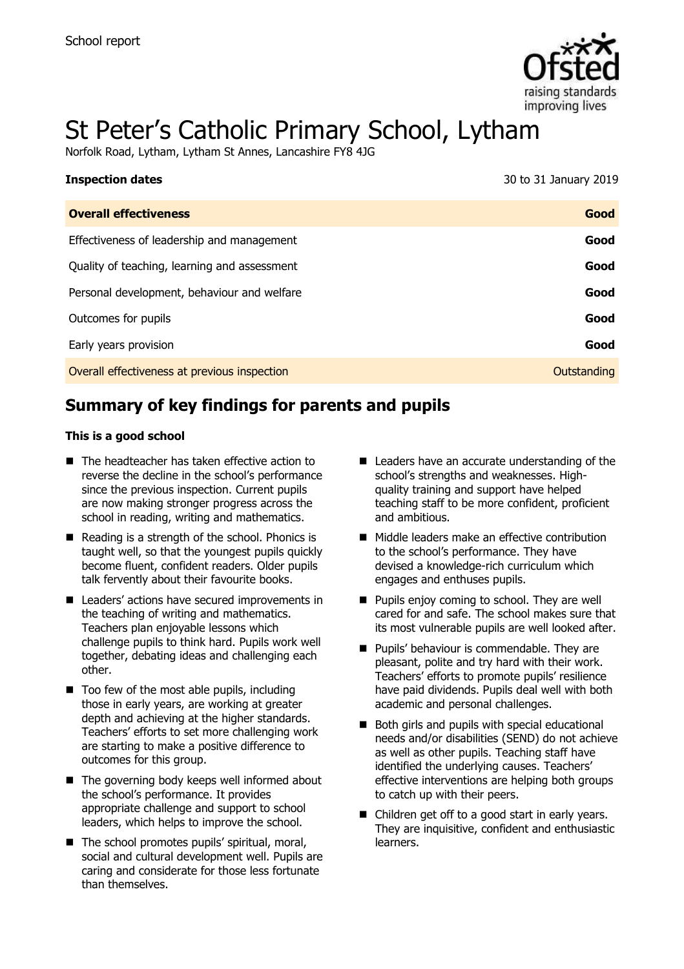

# St Peter's Catholic Primary School, Lytham

Norfolk Road, Lytham, Lytham St Annes, Lancashire FY8 4JG

| 30 to 31 January 2019 |
|-----------------------|
| Good                  |
| Good                  |
| Good                  |
| Good                  |
| Good                  |
| Good                  |
| Outstanding           |
|                       |

# **Summary of key findings for parents and pupils**

#### **This is a good school**

- The headteacher has taken effective action to reverse the decline in the school's performance since the previous inspection. Current pupils are now making stronger progress across the school in reading, writing and mathematics.
- $\blacksquare$  Reading is a strength of the school. Phonics is taught well, so that the youngest pupils quickly become fluent, confident readers. Older pupils talk fervently about their favourite books.
- Leaders' actions have secured improvements in the teaching of writing and mathematics. Teachers plan enjoyable lessons which challenge pupils to think hard. Pupils work well together, debating ideas and challenging each other.
- $\blacksquare$  Too few of the most able pupils, including those in early years, are working at greater depth and achieving at the higher standards. Teachers' efforts to set more challenging work are starting to make a positive difference to outcomes for this group.
- The governing body keeps well informed about the school's performance. It provides appropriate challenge and support to school leaders, which helps to improve the school.
- The school promotes pupils' spiritual, moral, social and cultural development well. Pupils are caring and considerate for those less fortunate than themselves.
- Leaders have an accurate understanding of the school's strengths and weaknesses. Highquality training and support have helped teaching staff to be more confident, proficient and ambitious.
- Middle leaders make an effective contribution to the school's performance. They have devised a knowledge-rich curriculum which engages and enthuses pupils.
- **Pupils enjoy coming to school. They are well** cared for and safe. The school makes sure that its most vulnerable pupils are well looked after.
- **Pupils' behaviour is commendable. They are** pleasant, polite and try hard with their work. Teachers' efforts to promote pupils' resilience have paid dividends. Pupils deal well with both academic and personal challenges.
- Both girls and pupils with special educational needs and/or disabilities (SEND) do not achieve as well as other pupils. Teaching staff have identified the underlying causes. Teachers' effective interventions are helping both groups to catch up with their peers.
- Children get off to a good start in early years. They are inquisitive, confident and enthusiastic learners.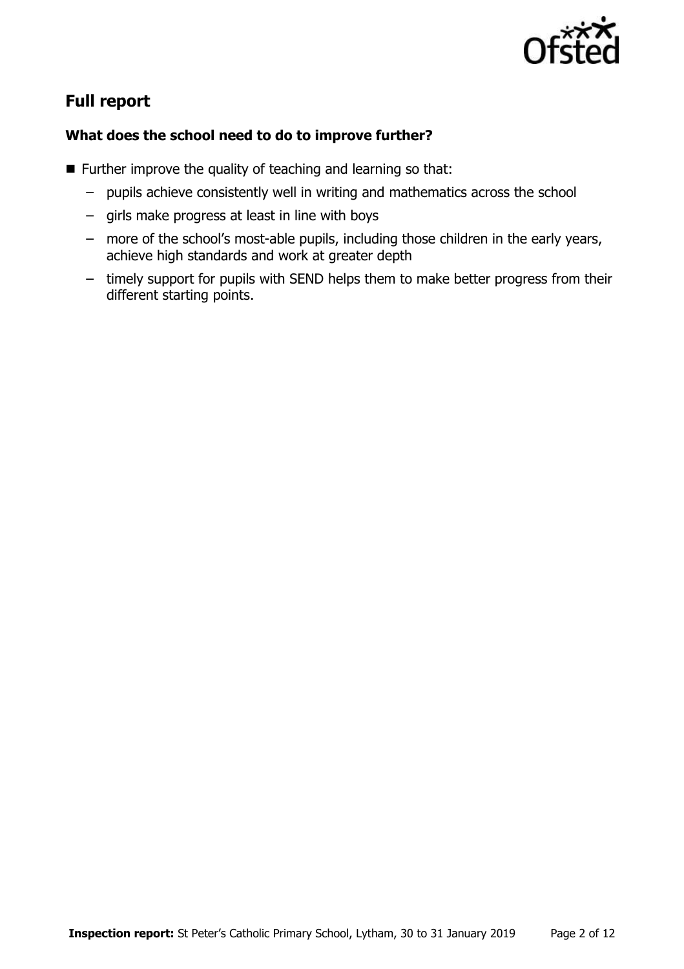

# **Full report**

### **What does the school need to do to improve further?**

- $\blacksquare$  Further improve the quality of teaching and learning so that:
	- pupils achieve consistently well in writing and mathematics across the school
	- girls make progress at least in line with boys
	- more of the school's most-able pupils, including those children in the early years, achieve high standards and work at greater depth
	- timely support for pupils with SEND helps them to make better progress from their different starting points.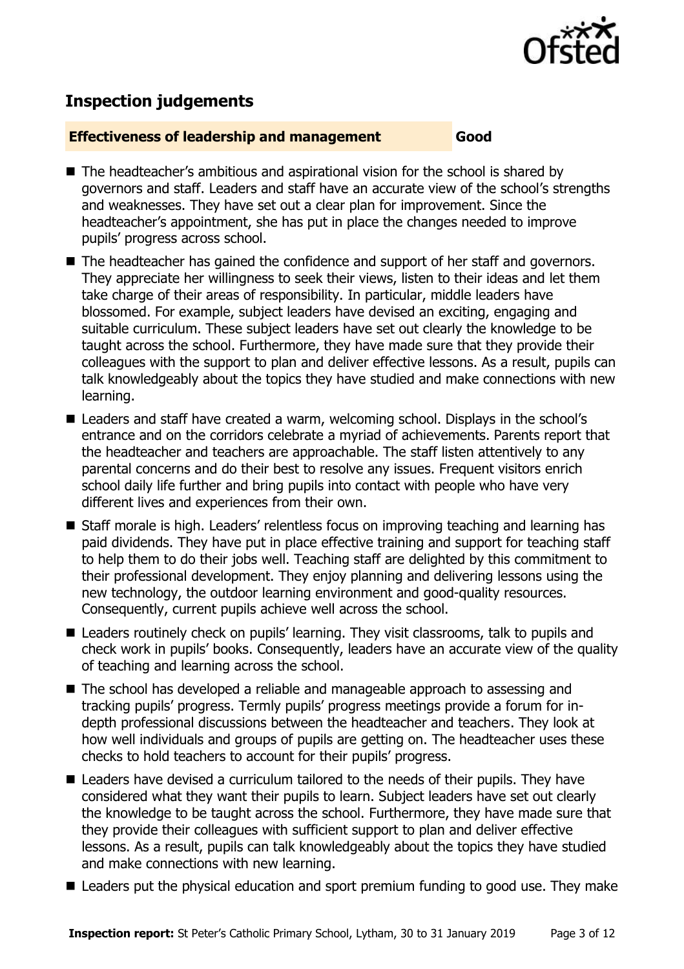

# **Inspection judgements**

#### **Effectiveness of leadership and management Good**

- The headteacher's ambitious and aspirational vision for the school is shared by governors and staff. Leaders and staff have an accurate view of the school's strengths and weaknesses. They have set out a clear plan for improvement. Since the headteacher's appointment, she has put in place the changes needed to improve pupils' progress across school.
- The headteacher has gained the confidence and support of her staff and governors. They appreciate her willingness to seek their views, listen to their ideas and let them take charge of their areas of responsibility. In particular, middle leaders have blossomed. For example, subject leaders have devised an exciting, engaging and suitable curriculum. These subject leaders have set out clearly the knowledge to be taught across the school. Furthermore, they have made sure that they provide their colleagues with the support to plan and deliver effective lessons. As a result, pupils can talk knowledgeably about the topics they have studied and make connections with new learning.
- Leaders and staff have created a warm, welcoming school. Displays in the school's entrance and on the corridors celebrate a myriad of achievements. Parents report that the headteacher and teachers are approachable. The staff listen attentively to any parental concerns and do their best to resolve any issues. Frequent visitors enrich school daily life further and bring pupils into contact with people who have very different lives and experiences from their own.
- Staff morale is high. Leaders' relentless focus on improving teaching and learning has paid dividends. They have put in place effective training and support for teaching staff to help them to do their jobs well. Teaching staff are delighted by this commitment to their professional development. They enjoy planning and delivering lessons using the new technology, the outdoor learning environment and good-quality resources. Consequently, current pupils achieve well across the school.
- Leaders routinely check on pupils' learning. They visit classrooms, talk to pupils and check work in pupils' books. Consequently, leaders have an accurate view of the quality of teaching and learning across the school.
- The school has developed a reliable and manageable approach to assessing and tracking pupils' progress. Termly pupils' progress meetings provide a forum for indepth professional discussions between the headteacher and teachers. They look at how well individuals and groups of pupils are getting on. The headteacher uses these checks to hold teachers to account for their pupils' progress.
- Leaders have devised a curriculum tailored to the needs of their pupils. They have considered what they want their pupils to learn. Subject leaders have set out clearly the knowledge to be taught across the school. Furthermore, they have made sure that they provide their colleagues with sufficient support to plan and deliver effective lessons. As a result, pupils can talk knowledgeably about the topics they have studied and make connections with new learning.
- Leaders put the physical education and sport premium funding to good use. They make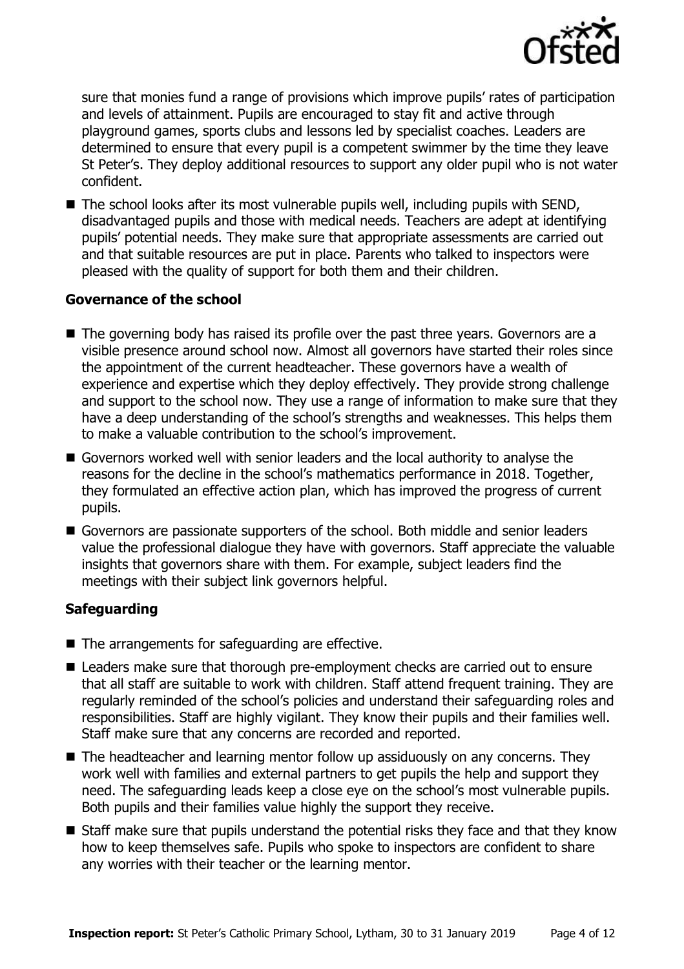

sure that monies fund a range of provisions which improve pupils' rates of participation and levels of attainment. Pupils are encouraged to stay fit and active through playground games, sports clubs and lessons led by specialist coaches. Leaders are determined to ensure that every pupil is a competent swimmer by the time they leave St Peter's. They deploy additional resources to support any older pupil who is not water confident.

 $\blacksquare$  The school looks after its most vulnerable pupils well, including pupils with SEND, disadvantaged pupils and those with medical needs. Teachers are adept at identifying pupils' potential needs. They make sure that appropriate assessments are carried out and that suitable resources are put in place. Parents who talked to inspectors were pleased with the quality of support for both them and their children.

#### **Governance of the school**

- The governing body has raised its profile over the past three years. Governors are a visible presence around school now. Almost all governors have started their roles since the appointment of the current headteacher. These governors have a wealth of experience and expertise which they deploy effectively. They provide strong challenge and support to the school now. They use a range of information to make sure that they have a deep understanding of the school's strengths and weaknesses. This helps them to make a valuable contribution to the school's improvement.
- Governors worked well with senior leaders and the local authority to analyse the reasons for the decline in the school's mathematics performance in 2018. Together, they formulated an effective action plan, which has improved the progress of current pupils.
- Governors are passionate supporters of the school. Both middle and senior leaders value the professional dialogue they have with governors. Staff appreciate the valuable insights that governors share with them. For example, subject leaders find the meetings with their subject link governors helpful.

#### **Safeguarding**

- The arrangements for safeguarding are effective.
- Leaders make sure that thorough pre-employment checks are carried out to ensure that all staff are suitable to work with children. Staff attend frequent training. They are regularly reminded of the school's policies and understand their safeguarding roles and responsibilities. Staff are highly vigilant. They know their pupils and their families well. Staff make sure that any concerns are recorded and reported.
- The headteacher and learning mentor follow up assiduously on any concerns. They work well with families and external partners to get pupils the help and support they need. The safeguarding leads keep a close eye on the school's most vulnerable pupils. Both pupils and their families value highly the support they receive.
- Staff make sure that pupils understand the potential risks they face and that they know how to keep themselves safe. Pupils who spoke to inspectors are confident to share any worries with their teacher or the learning mentor.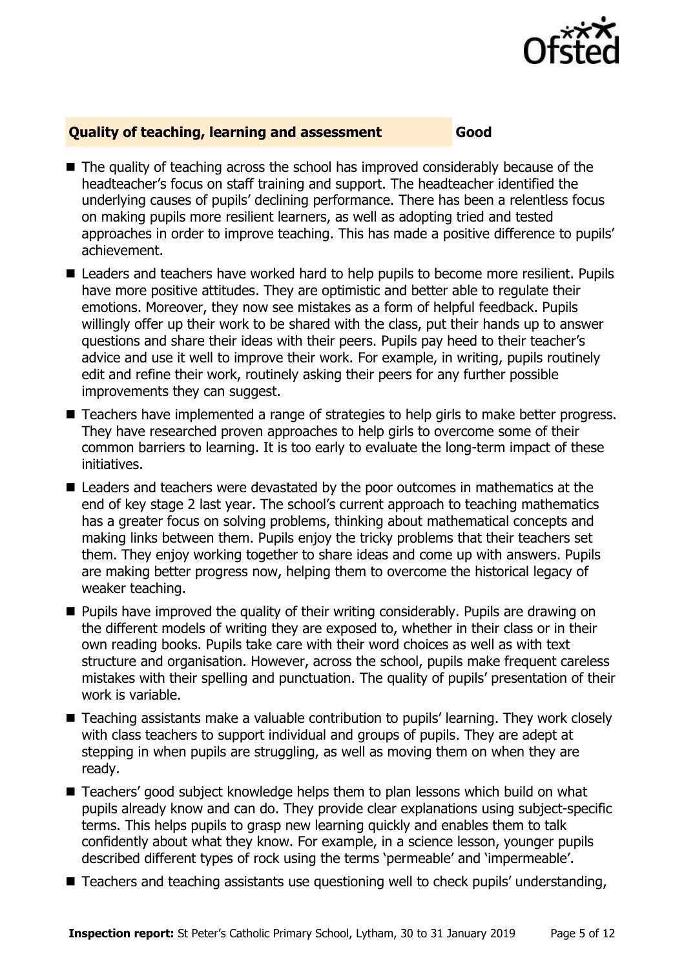

#### **Quality of teaching, learning and assessment Good**

- The quality of teaching across the school has improved considerably because of the headteacher's focus on staff training and support. The headteacher identified the underlying causes of pupils' declining performance. There has been a relentless focus on making pupils more resilient learners, as well as adopting tried and tested approaches in order to improve teaching. This has made a positive difference to pupils' achievement.
- Leaders and teachers have worked hard to help pupils to become more resilient. Pupils have more positive attitudes. They are optimistic and better able to regulate their emotions. Moreover, they now see mistakes as a form of helpful feedback. Pupils willingly offer up their work to be shared with the class, put their hands up to answer questions and share their ideas with their peers. Pupils pay heed to their teacher's advice and use it well to improve their work. For example, in writing, pupils routinely edit and refine their work, routinely asking their peers for any further possible improvements they can suggest.
- Teachers have implemented a range of strategies to help girls to make better progress. They have researched proven approaches to help girls to overcome some of their common barriers to learning. It is too early to evaluate the long-term impact of these initiatives.
- Leaders and teachers were devastated by the poor outcomes in mathematics at the end of key stage 2 last year. The school's current approach to teaching mathematics has a greater focus on solving problems, thinking about mathematical concepts and making links between them. Pupils enjoy the tricky problems that their teachers set them. They enjoy working together to share ideas and come up with answers. Pupils are making better progress now, helping them to overcome the historical legacy of weaker teaching.
- **Pupils have improved the quality of their writing considerably. Pupils are drawing on** the different models of writing they are exposed to, whether in their class or in their own reading books. Pupils take care with their word choices as well as with text structure and organisation. However, across the school, pupils make frequent careless mistakes with their spelling and punctuation. The quality of pupils' presentation of their work is variable.
- Teaching assistants make a valuable contribution to pupils' learning. They work closely with class teachers to support individual and groups of pupils. They are adept at stepping in when pupils are struggling, as well as moving them on when they are ready.
- Teachers' good subject knowledge helps them to plan lessons which build on what pupils already know and can do. They provide clear explanations using subject-specific terms. This helps pupils to grasp new learning quickly and enables them to talk confidently about what they know. For example, in a science lesson, younger pupils described different types of rock using the terms 'permeable' and 'impermeable'.
- Teachers and teaching assistants use questioning well to check pupils' understanding,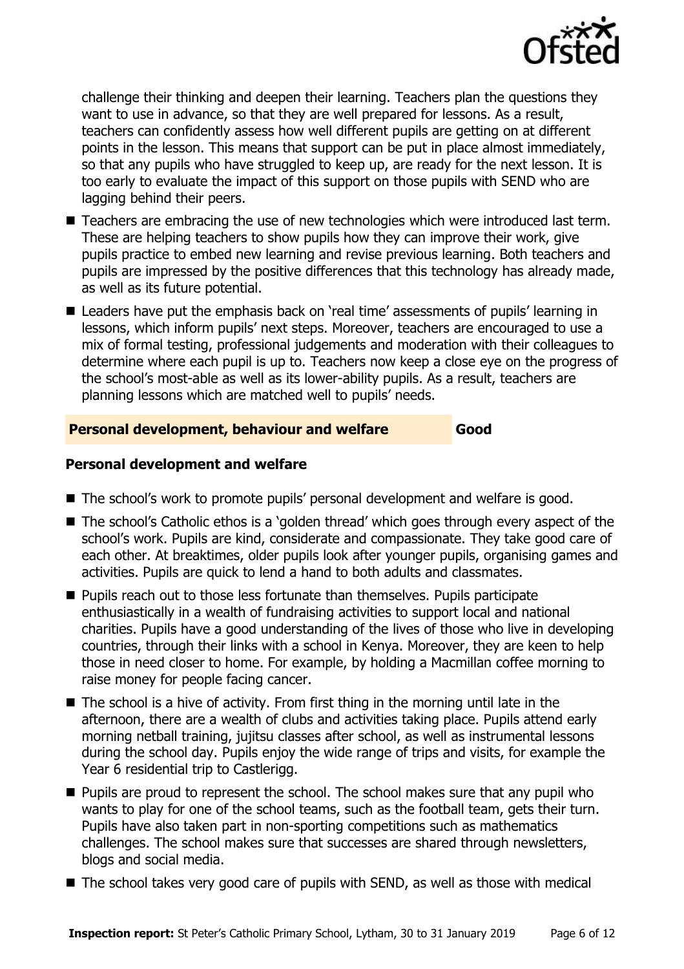

challenge their thinking and deepen their learning. Teachers plan the questions they want to use in advance, so that they are well prepared for lessons. As a result, teachers can confidently assess how well different pupils are getting on at different points in the lesson. This means that support can be put in place almost immediately, so that any pupils who have struggled to keep up, are ready for the next lesson. It is too early to evaluate the impact of this support on those pupils with SEND who are lagging behind their peers.

- Teachers are embracing the use of new technologies which were introduced last term. These are helping teachers to show pupils how they can improve their work, give pupils practice to embed new learning and revise previous learning. Both teachers and pupils are impressed by the positive differences that this technology has already made, as well as its future potential.
- Leaders have put the emphasis back on 'real time' assessments of pupils' learning in lessons, which inform pupils' next steps. Moreover, teachers are encouraged to use a mix of formal testing, professional judgements and moderation with their colleagues to determine where each pupil is up to. Teachers now keep a close eye on the progress of the school's most-able as well as its lower-ability pupils. As a result, teachers are planning lessons which are matched well to pupils' needs.

#### **Personal development, behaviour and welfare Good**

#### **Personal development and welfare**

- The school's work to promote pupils' personal development and welfare is good.
- The school's Catholic ethos is a 'golden thread' which goes through every aspect of the school's work. Pupils are kind, considerate and compassionate. They take good care of each other. At breaktimes, older pupils look after younger pupils, organising games and activities. Pupils are quick to lend a hand to both adults and classmates.
- **Pupils reach out to those less fortunate than themselves. Pupils participate** enthusiastically in a wealth of fundraising activities to support local and national charities. Pupils have a good understanding of the lives of those who live in developing countries, through their links with a school in Kenya. Moreover, they are keen to help those in need closer to home. For example, by holding a Macmillan coffee morning to raise money for people facing cancer.
- $\blacksquare$  The school is a hive of activity. From first thing in the morning until late in the afternoon, there are a wealth of clubs and activities taking place. Pupils attend early morning netball training, jujitsu classes after school, as well as instrumental lessons during the school day. Pupils enjoy the wide range of trips and visits, for example the Year 6 residential trip to Castlerigg.
- **Pupils are proud to represent the school. The school makes sure that any pupil who** wants to play for one of the school teams, such as the football team, gets their turn. Pupils have also taken part in non-sporting competitions such as mathematics challenges. The school makes sure that successes are shared through newsletters, blogs and social media.
- $\blacksquare$  The school takes very good care of pupils with SEND, as well as those with medical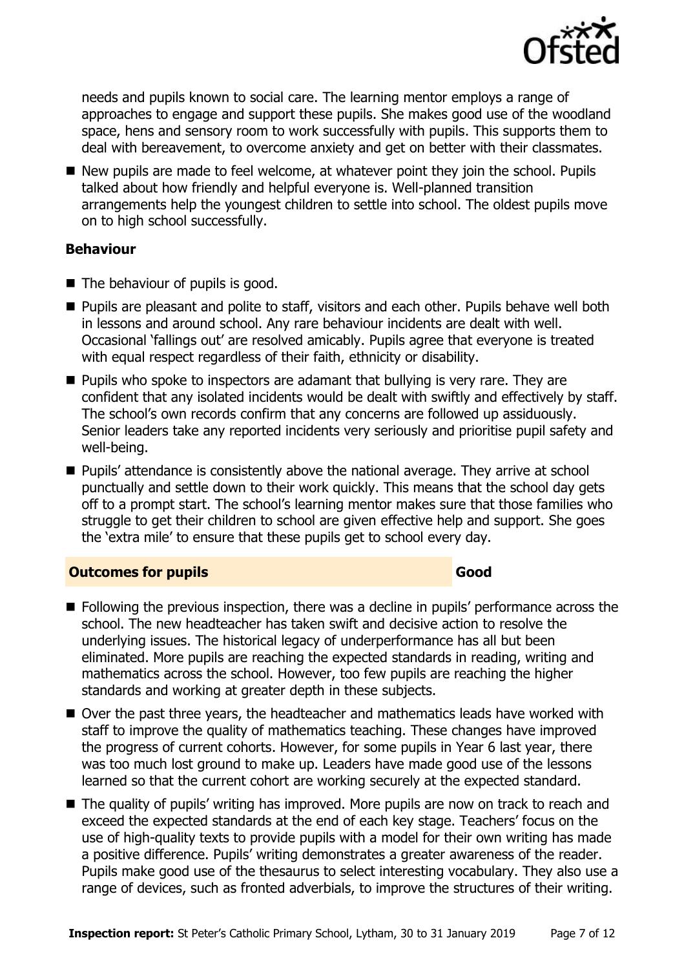

needs and pupils known to social care. The learning mentor employs a range of approaches to engage and support these pupils. She makes good use of the woodland space, hens and sensory room to work successfully with pupils. This supports them to deal with bereavement, to overcome anxiety and get on better with their classmates.

New pupils are made to feel welcome, at whatever point they join the school. Pupils talked about how friendly and helpful everyone is. Well-planned transition arrangements help the youngest children to settle into school. The oldest pupils move on to high school successfully.

#### **Behaviour**

- The behaviour of pupils is good.
- **Pupils are pleasant and polite to staff, visitors and each other. Pupils behave well both** in lessons and around school. Any rare behaviour incidents are dealt with well. Occasional 'fallings out' are resolved amicably. Pupils agree that everyone is treated with equal respect regardless of their faith, ethnicity or disability.
- **Pupils who spoke to inspectors are adamant that bullying is very rare. They are** confident that any isolated incidents would be dealt with swiftly and effectively by staff. The school's own records confirm that any concerns are followed up assiduously. Senior leaders take any reported incidents very seriously and prioritise pupil safety and well-being.
- **Pupils' attendance is consistently above the national average. They arrive at school** punctually and settle down to their work quickly. This means that the school day gets off to a prompt start. The school's learning mentor makes sure that those families who struggle to get their children to school are given effective help and support. She goes the 'extra mile' to ensure that these pupils get to school every day.

### **Outcomes for pupils Good**

- **Following the previous inspection, there was a decline in pupils' performance across the** school. The new headteacher has taken swift and decisive action to resolve the underlying issues. The historical legacy of underperformance has all but been eliminated. More pupils are reaching the expected standards in reading, writing and mathematics across the school. However, too few pupils are reaching the higher standards and working at greater depth in these subjects.
- Over the past three years, the headteacher and mathematics leads have worked with staff to improve the quality of mathematics teaching. These changes have improved the progress of current cohorts. However, for some pupils in Year 6 last year, there was too much lost ground to make up. Leaders have made good use of the lessons learned so that the current cohort are working securely at the expected standard.
- The quality of pupils' writing has improved. More pupils are now on track to reach and exceed the expected standards at the end of each key stage. Teachers' focus on the use of high-quality texts to provide pupils with a model for their own writing has made a positive difference. Pupils' writing demonstrates a greater awareness of the reader. Pupils make good use of the thesaurus to select interesting vocabulary. They also use a range of devices, such as fronted adverbials, to improve the structures of their writing.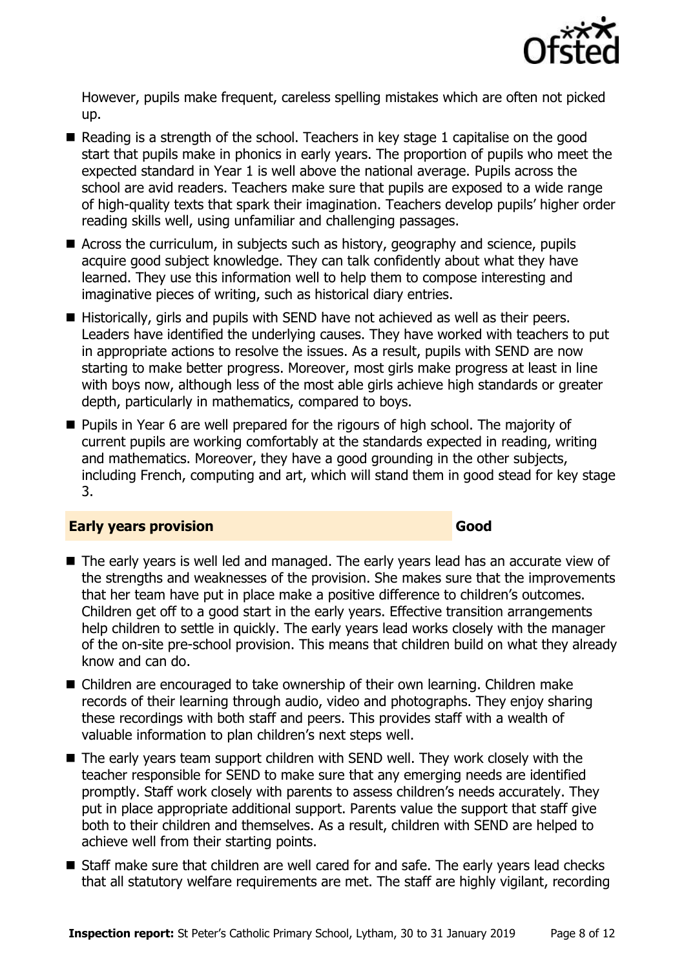

However, pupils make frequent, careless spelling mistakes which are often not picked up.

- Reading is a strength of the school. Teachers in key stage 1 capitalise on the good start that pupils make in phonics in early years. The proportion of pupils who meet the expected standard in Year 1 is well above the national average. Pupils across the school are avid readers. Teachers make sure that pupils are exposed to a wide range of high-quality texts that spark their imagination. Teachers develop pupils' higher order reading skills well, using unfamiliar and challenging passages.
- Across the curriculum, in subjects such as history, geography and science, pupils acquire good subject knowledge. They can talk confidently about what they have learned. They use this information well to help them to compose interesting and imaginative pieces of writing, such as historical diary entries.
- Historically, girls and pupils with SEND have not achieved as well as their peers. Leaders have identified the underlying causes. They have worked with teachers to put in appropriate actions to resolve the issues. As a result, pupils with SEND are now starting to make better progress. Moreover, most girls make progress at least in line with boys now, although less of the most able girls achieve high standards or greater depth, particularly in mathematics, compared to boys.
- **Pupils in Year 6 are well prepared for the rigours of high school. The majority of** current pupils are working comfortably at the standards expected in reading, writing and mathematics. Moreover, they have a good grounding in the other subjects, including French, computing and art, which will stand them in good stead for key stage 3.

#### **Early years provision Good Good**

- The early years is well led and managed. The early years lead has an accurate view of the strengths and weaknesses of the provision. She makes sure that the improvements that her team have put in place make a positive difference to children's outcomes. Children get off to a good start in the early years. Effective transition arrangements help children to settle in quickly. The early years lead works closely with the manager of the on-site pre-school provision. This means that children build on what they already know and can do.
- Children are encouraged to take ownership of their own learning. Children make records of their learning through audio, video and photographs. They enjoy sharing these recordings with both staff and peers. This provides staff with a wealth of valuable information to plan children's next steps well.
- The early years team support children with SEND well. They work closely with the teacher responsible for SEND to make sure that any emerging needs are identified promptly. Staff work closely with parents to assess children's needs accurately. They put in place appropriate additional support. Parents value the support that staff give both to their children and themselves. As a result, children with SEND are helped to achieve well from their starting points.
- Staff make sure that children are well cared for and safe. The early years lead checks that all statutory welfare requirements are met. The staff are highly vigilant, recording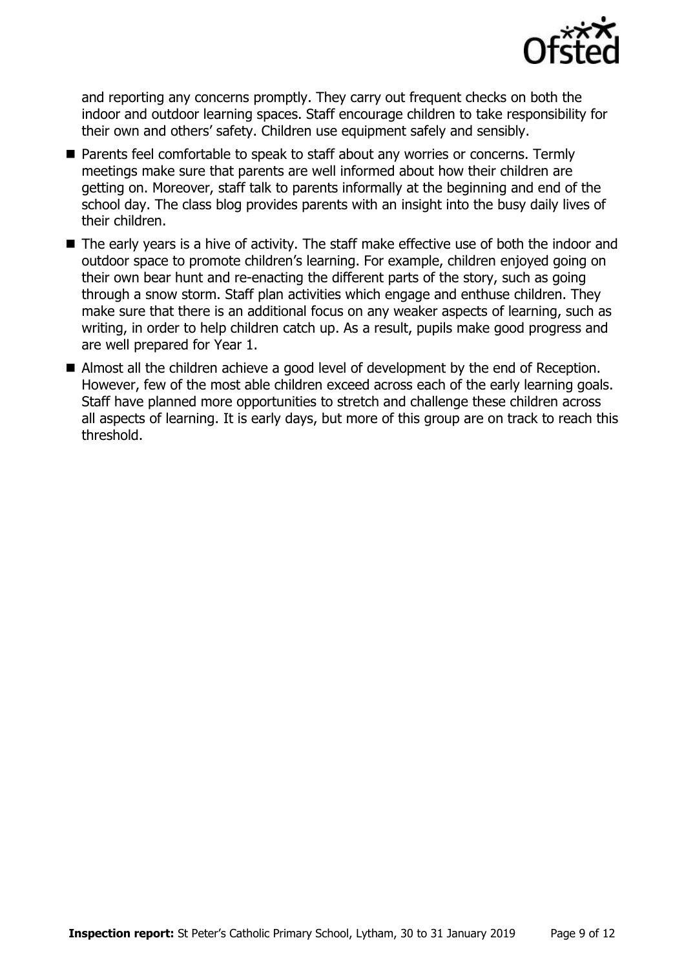

and reporting any concerns promptly. They carry out frequent checks on both the indoor and outdoor learning spaces. Staff encourage children to take responsibility for their own and others' safety. Children use equipment safely and sensibly.

- Parents feel comfortable to speak to staff about any worries or concerns. Termly meetings make sure that parents are well informed about how their children are getting on. Moreover, staff talk to parents informally at the beginning and end of the school day. The class blog provides parents with an insight into the busy daily lives of their children.
- The early years is a hive of activity. The staff make effective use of both the indoor and outdoor space to promote children's learning. For example, children enjoyed going on their own bear hunt and re-enacting the different parts of the story, such as going through a snow storm. Staff plan activities which engage and enthuse children. They make sure that there is an additional focus on any weaker aspects of learning, such as writing, in order to help children catch up. As a result, pupils make good progress and are well prepared for Year 1.
- Almost all the children achieve a good level of development by the end of Reception. However, few of the most able children exceed across each of the early learning goals. Staff have planned more opportunities to stretch and challenge these children across all aspects of learning. It is early days, but more of this group are on track to reach this threshold.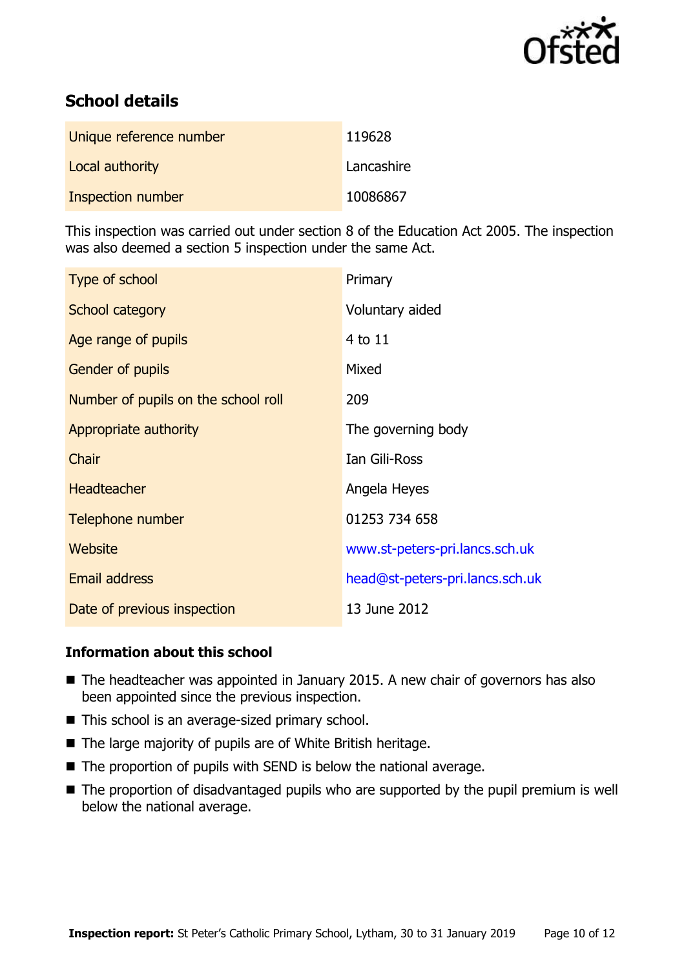

# **School details**

| Unique reference number | 119628     |
|-------------------------|------------|
| Local authority         | Lancashire |
| Inspection number       | 10086867   |

This inspection was carried out under section 8 of the Education Act 2005. The inspection was also deemed a section 5 inspection under the same Act.

| Type of school                      | Primary                         |
|-------------------------------------|---------------------------------|
| School category                     | Voluntary aided                 |
| Age range of pupils                 | 4 to 11                         |
| <b>Gender of pupils</b>             | Mixed                           |
| Number of pupils on the school roll | 209                             |
| Appropriate authority               | The governing body              |
| Chair                               | Ian Gili-Ross                   |
| <b>Headteacher</b>                  | Angela Heyes                    |
| Telephone number                    | 01253 734 658                   |
| Website                             | www.st-peters-pri.lancs.sch.uk  |
| <b>Email address</b>                | head@st-peters-pri.lancs.sch.uk |
| Date of previous inspection         | 13 June 2012                    |

#### **Information about this school**

- The headteacher was appointed in January 2015. A new chair of governors has also been appointed since the previous inspection.
- This school is an average-sized primary school.
- The large majority of pupils are of White British heritage.
- $\blacksquare$  The proportion of pupils with SEND is below the national average.
- The proportion of disadvantaged pupils who are supported by the pupil premium is well below the national average.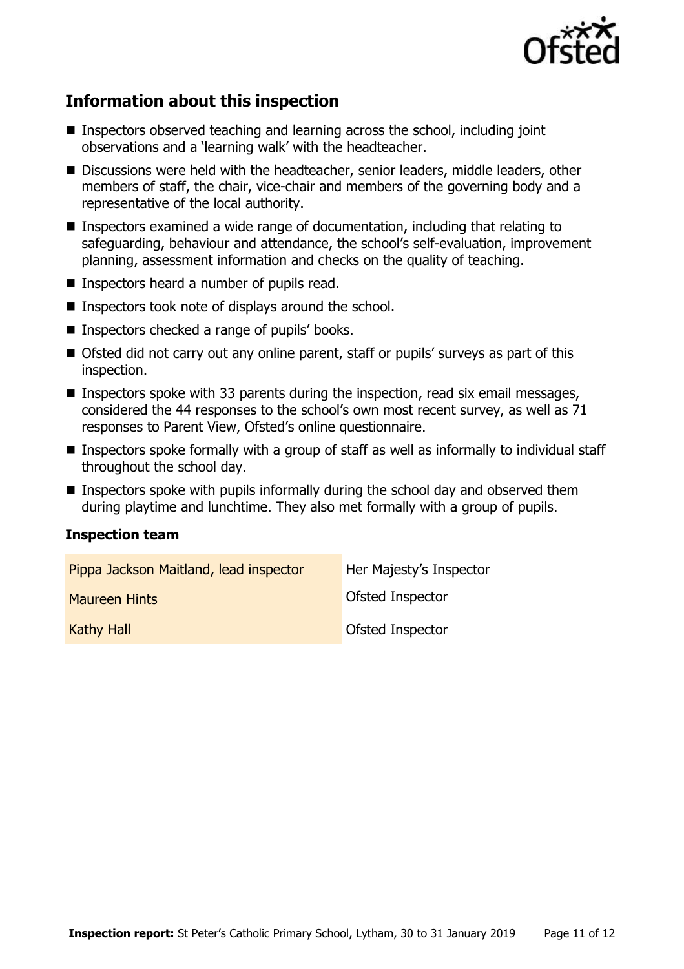

# **Information about this inspection**

- **Inspectors observed teaching and learning across the school, including joint** observations and a 'learning walk' with the headteacher.
- Discussions were held with the headteacher, senior leaders, middle leaders, other members of staff, the chair, vice-chair and members of the governing body and a representative of the local authority.
- Inspectors examined a wide range of documentation, including that relating to safeguarding, behaviour and attendance, the school's self-evaluation, improvement planning, assessment information and checks on the quality of teaching.
- Inspectors heard a number of pupils read.
- $\blacksquare$  Inspectors took note of displays around the school.
- Inspectors checked a range of pupils' books.
- Ofsted did not carry out any online parent, staff or pupils' surveys as part of this inspection.
- **Inspectors spoke with 33 parents during the inspection, read six email messages,** considered the 44 responses to the school's own most recent survey, as well as 71 responses to Parent View, Ofsted's online questionnaire.
- Inspectors spoke formally with a group of staff as well as informally to individual staff throughout the school day.
- **Inspectors spoke with pupils informally during the school day and observed them** during playtime and lunchtime. They also met formally with a group of pupils.

#### **Inspection team**

| Pippa Jackson Maitland, lead inspector | Her Majesty's Inspector |
|----------------------------------------|-------------------------|
| <b>Maureen Hints</b>                   | Ofsted Inspector        |
| <b>Kathy Hall</b>                      | Ofsted Inspector        |